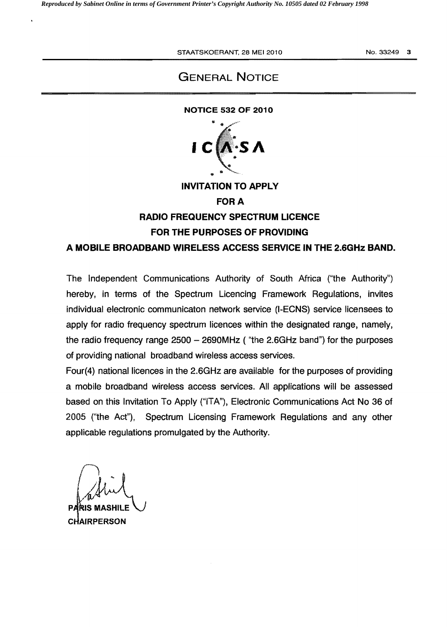# GENERAL NOTICE

#### NOTICE 532 OF 2010



INVITATION TO APPLY

#### **FOR A**

# RADIO FREQUENCY SPECTRUM LICENCE FOR THE PURPOSES OF PROVIDING

### A MOBILE BROADBAND WIRELESS ACCESS SERVICE IN THE 2.6GHz BAND.

The Independent Communications Authority of South Africa ("the Authority") hereby, in terms of the Spectrum licencing Framework Regulations, invites individual electronic communicaton network service (I-ECNS) service licensees to apply for radio frequency spectrum licences within the designated range, namely, the radio frequency range  $2500 - 2690$ MHz ("the 2.6GHz band") for the purposes of providing national broadband wireless access services.

Four(4) national licences in the 2.6GHz are available for the purposes of providing a mobile broadband wireless access services. All applications will be assessed based on this Invitation To Apply ("ITA"), Electronic Communications Act No 36 of 2005 ("the Act"), Spectrum Licensing Framework Regulations and any other applicable regulations promulgated by the Authority.

abid. /(J.l

**PARIS MASHILE CHAIRPERSON**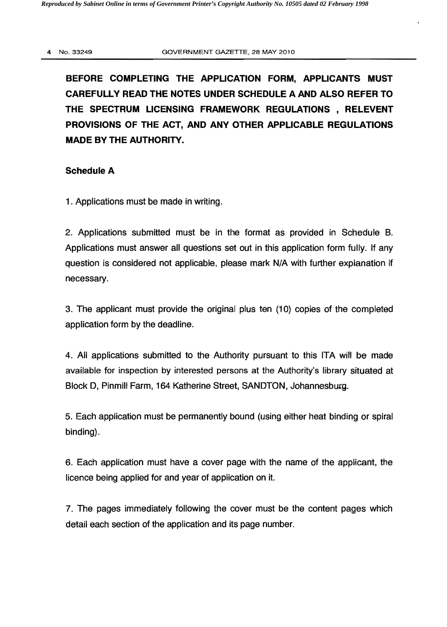BEFORE COMPLETING THE APPLICATION FORM, APPLICANTS MUST CAREFULLY READ THE NOTES UNDER SCHEDULE A AND ALSO REFER TO THE SPECTRUM LICENSING FRAMEWORK REGULATIONS , RELEVENT PROVISIONS OF THE ACT, AND ANY OTHER APPLICABLE REGULATIONS MADE BY THE AUTHORITY.

### Schedule A

1 . Applications must be made in writing.

2. Applications submitted must be in the format as provided in Schedule B. Applications must answer all questions set out in this application form fully. If any question is considered not applicable, please mark N/A with further explanation if necessary.

3. The applicant must provide the original plus ten (10) copies of the completed application form by the deadline.

4. All applications submitted to the Authority pursuant to this ITA will be made available for inspection by interested persons at the Authority's library situated at Block D, Pinmill Farm, 164 Katherine Street, SANDTON, Johannesburg.

5. Each application must be permanently bound (using either heat binding or spiral binding).

6. Each application must have a cover page with the name of the applicant, the licence being applied for and year of application on it.

7. The pages immediately following the cover must be the content pages which detail each section of the application and its page number.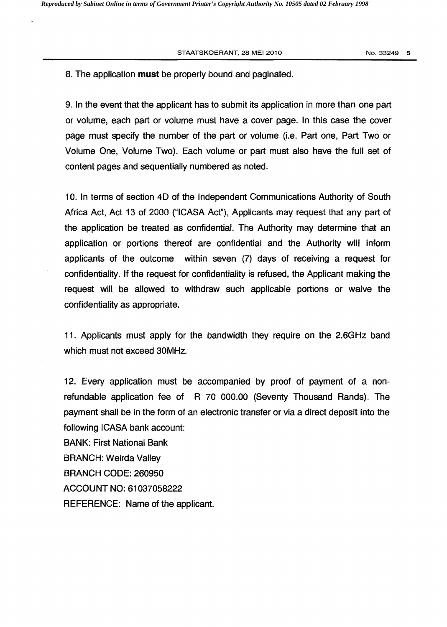#### STAATSKOERANT, 28 MEI 2010 1200 1200 1200 13249 15

## 8. The application must be properly bound and paginated.

9. In the event that the applicant has to submit its application in more than one part or volume, each part or volume must have a cover page. In this case the cover page must specify the number of the part or volume (i.e. Part one, Part Two or Volume One, Volume Two). Each volume or part must also have the full set of content pages and sequentially numbered as noted.

10. In terms of section 4D of the Independent Communications Authority of South Africa Act, Act 13 of 2000 ("ICASA Act"), Applicants may request that any part of the application be treated as confidential. The Authority may determine that an application or portions thereof are confidential and the Authority will inform applicants of the outcome within seven (7) days of receiving a request for confidentiality. If the request for confidentiality is refused, the Applicant making the request will be allowed to withdraw such applicable portions or waive the confidentiality as appropriate.

11. Applicants must apply for the bandwidth they require on the 2.6GHz band which must not exceed 30MHz.

12. Every application must be accompanied by proof of payment of a nonrefundable application fee of R 70 000.00 (Seventy Thousand Rands). The payment shall be in the form of an electronic transfer or via a direct deposit into the following ICASA bank account:

BANK: First National Bank BRANCH: Weirda Valley BRANCH CODE: 260950 ACCOUNT NO: 61037058222 REFERENCE: Name of the applicant.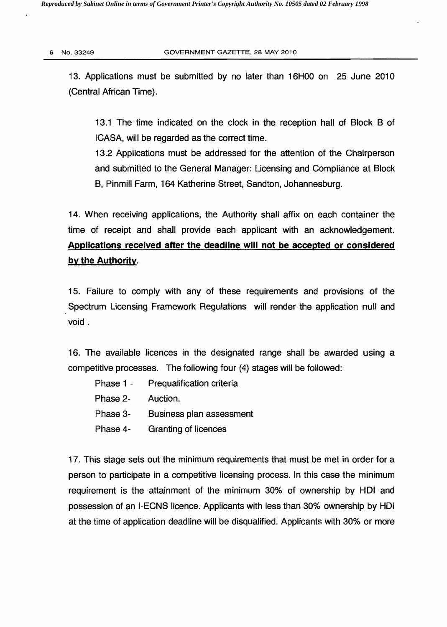13. Applications must be submitted by no later than 16HOO on 25 June 2010 (Central African Time).

13.1 The time indicated on the clock in the reception hall of Block B of ICASA, will be regarded as the correct time.

13.2 Applications must be addressed for the attention of the Chairperson and submitted to the General Manager: Licensing and Compliance at Block B, Pinmill Farm, 164 Katherine Street, Sandton, Johannesburg.

14. When receiving applications, the Authority shall affix on each container the time of receipt and shall provide each applicant with an acknowledgement. Applications received after the deadline will not be accepted or considered by the Authority.

15. Failure to comply with any of these requirements and provisions of the Spectrum Licensing Framework Regulations will render the application null and void.

16. The available licences in the deSignated range shall be awarded using a competitive processes. The following four (4) stages will be followed:

- Phase 1 Prequalification criteria
- Phase 2- Auction.
- Phase 3- Business plan assessment
- Phase 4- Granting of licences

17. This stage sets out the minimum requirements that must be met in order for a person to participate in a competitive licensing process. In this case the minimum requirement is the attainment of the minimum 30% of ownership by HOI and possession of an I-ECNS licence. Applicants with less than 30% ownership by HDI at the time of application deadline will be disqualified, Applicants with 30% or more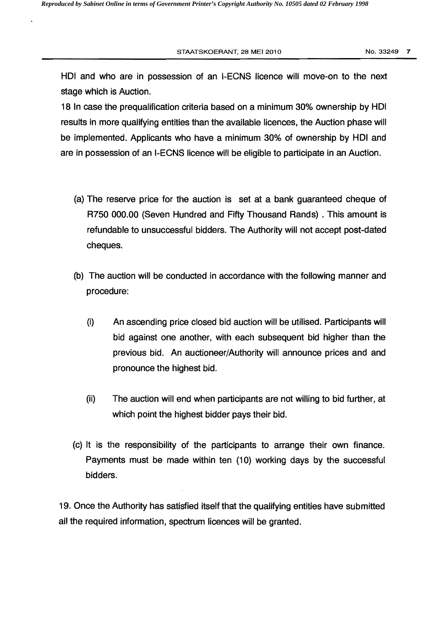STAATSKOERANT, 28 MEI 2010 **No. 33249 7** No. 33249 7

HOI and who are in possession of an I-ECNS licence will move-on to the next stage which is Auction.

18 In case the prequalification criteria based on a minimum 30% ownership by HOI results in more qualifying entities than the available licences, the Auction phase will be implemented. Applicants who have a minimum 30% of ownership by HOI and are in possession of an I-ECNS licence will be eligible to participate in an Auction.

- (a) The reserve price for the auction is set at a bank guaranteed cheque of R7S0 000.00 (Seven Hundred and Fifty Thousand Rands) . This amount is refundable to unsuccessful bidders. The Authority will not accept post-dated cheques.
- (b) The auction will be conducted in accordance with the following manner and procedure:
	- (i) An ascending price closed bid auction will be utilised. Participants will bid against one another, with each subsequent bid higher than the previous bid. An auctioneer/Authority will announce prices and and pronounce the highest bid.
	- (ii) The auction will end when participants are not willing to bid further, at which point the highest bidder pays their bid.
- (c) It is the responsibility of the participants to arrange their own finance. Payments must be made within ten (10) working days by the successful bidders.

19. Once the Authority has satisfied itself that the qualifying entities have submitted all the required information, spectrum licences will be granted.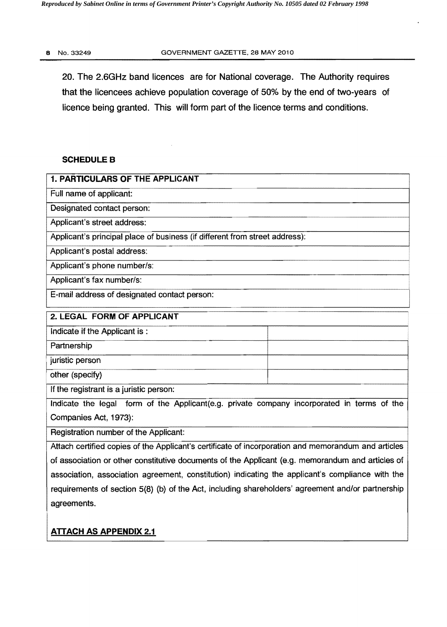20. The 2.6GHz band licences are for National coverage. The Authority requires that the licencees achieve population coverage of 50% by the end of two-years of licence being granted. This will form part of the licence terms and conditions.

### **SCHEDULE B**

| 1. PARTICULARS OF THE APPLICANT                                                                     |  |
|-----------------------------------------------------------------------------------------------------|--|
| Full name of applicant:                                                                             |  |
| Designated contact person:                                                                          |  |
| Applicant's street address:                                                                         |  |
| Applicant's principal place of business (if different from street address):                         |  |
| Applicant's postal address:                                                                         |  |
| Applicant's phone number/s:                                                                         |  |
| Applicant's fax number/s:                                                                           |  |
| E-mail address of designated contact person:                                                        |  |
| 2. LEGAL FORM OF APPLICANT                                                                          |  |
| Indicate if the Applicant is:                                                                       |  |
| Partnership                                                                                         |  |
| juristic person                                                                                     |  |
| other (specify)                                                                                     |  |
| If the registrant is a juristic person:                                                             |  |
| Indicate the legal form of the Applicant(e.g. private company incorporated in terms of the          |  |
| Companies Act, 1973):                                                                               |  |
| Registration number of the Applicant:                                                               |  |
| Attach certified copies of the Applicant's certificate of incorporation and memorandum and articles |  |
| of association or other constitutive documents of the Applicant (e.g. memorandum and articles of    |  |

of association or other constitutive documents of the Applicant (e.g. memorandum and articles of association, association agreement, constitution) indicating the applicant's compliance with the requirements of section 5(8) (b) of the Act, including shareholders' agreement and/or partnership agreements.

## ATTACH AS APPENDIX 2.1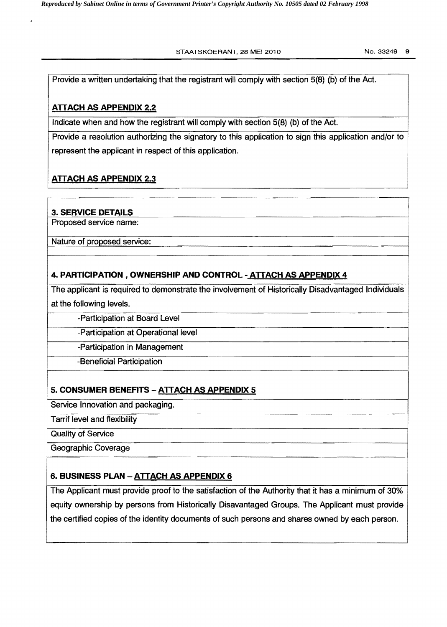STAATSKOERANT, 28 MEI 2010 NO. 33249 9

i

Provide a written undertaking that the registrant will comply with section 5(8) (b) of the Act.

# ATTACH AS APPENDIX 2.2

Indicate when and how the registrant will comply with section 5(8) (b) of the Act.

Provide a resolution authorizing the signatory to this application to sign this application and/or to represent the applicant in respect of this application.

# ATTACH AS APPENDIX 2.3

## 3. SERVICE DETAILS

Proposed service name:

Nature of proposed service:

## 4. PARTICIPATION, OWNERSHIP AND CONTROL - ATTACH AS APPENDIX 4

The applicant is required to demonstrate the involvement of Historically Disadvantaged Individuals at the following levels.

! -Participation at Board Level

-Participation at Operational level

-Participation in Management

-Beneficial Participation

# 5. CONSUMER BENEFITS - ATTACH AS APPENDIX 5

Service Innovation and packaging.

Tarrif level and flexibility

. Quality of Service

Geographic Coverage

## 6. BUSINESS PLAN - ATTACH AS APPENDIX 6

The Applicant must provide proof to the satisfaction of the Authority that it has a minimum of 30% equity ownership by persons from Historically Disavantaged Groups. The Applicant must provide the certified copies of the identity documents of such persons and shares owned by each person.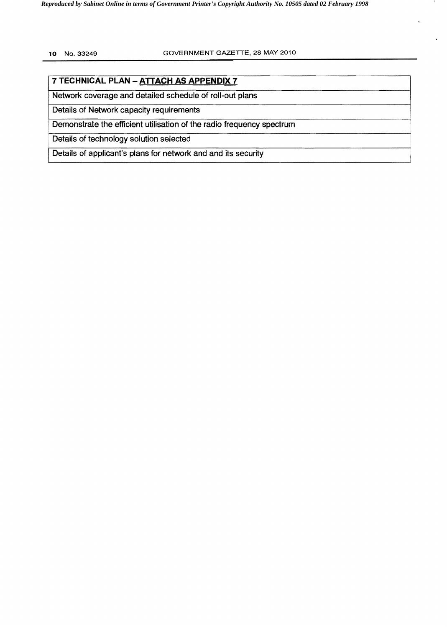## **7 TECHNICAL PLAN - AITACH AS APPENDIX 7**

Network coverage and detailed schedule of roll-out plans

Details of Network capacity requirements

Demonstrate the efficient utilisation of the radio frequency spectrum

Details of technology solution selected

Details of applicant's plans for network and and its security